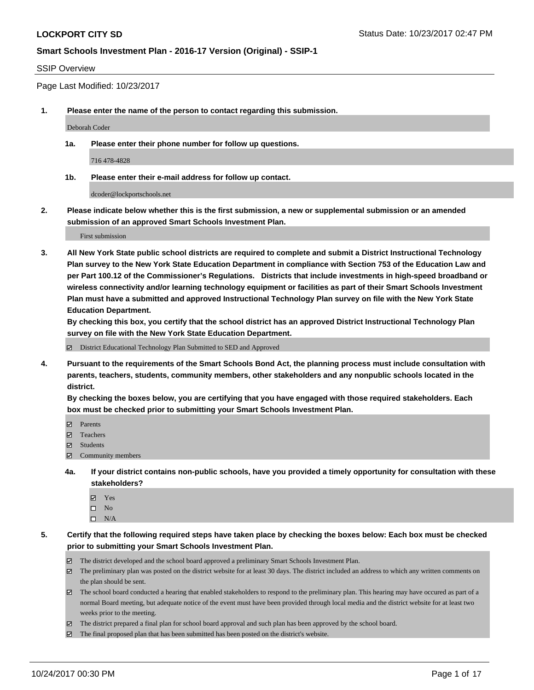#### SSIP Overview

Page Last Modified: 10/23/2017

**1. Please enter the name of the person to contact regarding this submission.**

Deborah Coder

**1a. Please enter their phone number for follow up questions.**

716 478-4828

**1b. Please enter their e-mail address for follow up contact.**

dcoder@lockportschools.net

**2. Please indicate below whether this is the first submission, a new or supplemental submission or an amended submission of an approved Smart Schools Investment Plan.**

First submission

**3. All New York State public school districts are required to complete and submit a District Instructional Technology Plan survey to the New York State Education Department in compliance with Section 753 of the Education Law and per Part 100.12 of the Commissioner's Regulations. Districts that include investments in high-speed broadband or wireless connectivity and/or learning technology equipment or facilities as part of their Smart Schools Investment Plan must have a submitted and approved Instructional Technology Plan survey on file with the New York State Education Department.** 

**By checking this box, you certify that the school district has an approved District Instructional Technology Plan survey on file with the New York State Education Department.**

District Educational Technology Plan Submitted to SED and Approved

**4. Pursuant to the requirements of the Smart Schools Bond Act, the planning process must include consultation with parents, teachers, students, community members, other stakeholders and any nonpublic schools located in the district.** 

**By checking the boxes below, you are certifying that you have engaged with those required stakeholders. Each box must be checked prior to submitting your Smart Schools Investment Plan.**

- **マ** Parents
- Teachers
- **☑** Students
- $\Xi$  Community members
- **4a. If your district contains non-public schools, have you provided a timely opportunity for consultation with these stakeholders?**
	- **Ø** Yes
	- $\square$  No
	- $\square$  N/A

**5. Certify that the following required steps have taken place by checking the boxes below: Each box must be checked prior to submitting your Smart Schools Investment Plan.**

- The district developed and the school board approved a preliminary Smart Schools Investment Plan.
- The preliminary plan was posted on the district website for at least 30 days. The district included an address to which any written comments on the plan should be sent.
- The school board conducted a hearing that enabled stakeholders to respond to the preliminary plan. This hearing may have occured as part of a normal Board meeting, but adequate notice of the event must have been provided through local media and the district website for at least two weeks prior to the meeting.
- The district prepared a final plan for school board approval and such plan has been approved by the school board.
- $\boxtimes$  The final proposed plan that has been submitted has been posted on the district's website.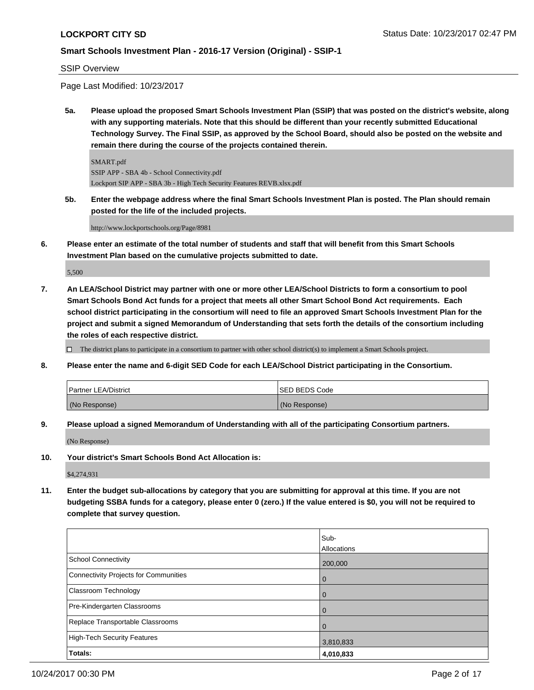#### SSIP Overview

Page Last Modified: 10/23/2017

**5a. Please upload the proposed Smart Schools Investment Plan (SSIP) that was posted on the district's website, along with any supporting materials. Note that this should be different than your recently submitted Educational Technology Survey. The Final SSIP, as approved by the School Board, should also be posted on the website and remain there during the course of the projects contained therein.**

SMART.pdf SSIP APP - SBA 4b - School Connectivity.pdf Lockport SIP APP - SBA 3b - High Tech Security Features REVB.xlsx.pdf

**5b. Enter the webpage address where the final Smart Schools Investment Plan is posted. The Plan should remain posted for the life of the included projects.**

http://www.lockportschools.org/Page/8981

**6. Please enter an estimate of the total number of students and staff that will benefit from this Smart Schools Investment Plan based on the cumulative projects submitted to date.**

5,500

**7. An LEA/School District may partner with one or more other LEA/School Districts to form a consortium to pool Smart Schools Bond Act funds for a project that meets all other Smart School Bond Act requirements. Each school district participating in the consortium will need to file an approved Smart Schools Investment Plan for the project and submit a signed Memorandum of Understanding that sets forth the details of the consortium including the roles of each respective district.**

 $\Box$  The district plans to participate in a consortium to partner with other school district(s) to implement a Smart Schools project.

**8. Please enter the name and 6-digit SED Code for each LEA/School District participating in the Consortium.**

| <b>Partner LEA/District</b> | ISED BEDS Code |
|-----------------------------|----------------|
| (No Response)               | (No Response)  |

**9. Please upload a signed Memorandum of Understanding with all of the participating Consortium partners.**

(No Response)

**10. Your district's Smart Schools Bond Act Allocation is:**

\$4,274,931

**11. Enter the budget sub-allocations by category that you are submitting for approval at this time. If you are not budgeting SSBA funds for a category, please enter 0 (zero.) If the value entered is \$0, you will not be required to complete that survey question.**

|                                              | Sub-        |
|----------------------------------------------|-------------|
|                                              | Allocations |
| <b>School Connectivity</b>                   | 200,000     |
| <b>Connectivity Projects for Communities</b> | 0           |
| Classroom Technology                         | 0           |
| Pre-Kindergarten Classrooms                  | 0           |
| Replace Transportable Classrooms             |             |
| <b>High-Tech Security Features</b>           | 3,810,833   |
| Totals:                                      | 4,010,833   |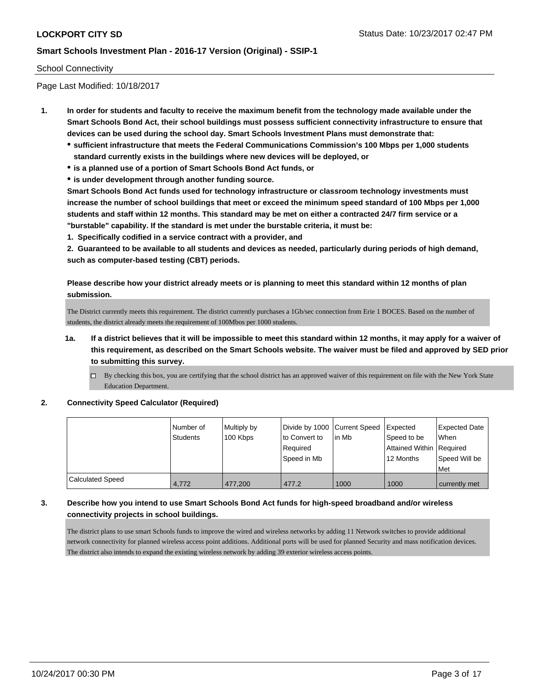#### School Connectivity

Page Last Modified: 10/18/2017

- **1. In order for students and faculty to receive the maximum benefit from the technology made available under the Smart Schools Bond Act, their school buildings must possess sufficient connectivity infrastructure to ensure that devices can be used during the school day. Smart Schools Investment Plans must demonstrate that:**
	- **sufficient infrastructure that meets the Federal Communications Commission's 100 Mbps per 1,000 students standard currently exists in the buildings where new devices will be deployed, or**
	- **is a planned use of a portion of Smart Schools Bond Act funds, or**
	- **is under development through another funding source.**

**Smart Schools Bond Act funds used for technology infrastructure or classroom technology investments must increase the number of school buildings that meet or exceed the minimum speed standard of 100 Mbps per 1,000 students and staff within 12 months. This standard may be met on either a contracted 24/7 firm service or a "burstable" capability. If the standard is met under the burstable criteria, it must be:**

**1. Specifically codified in a service contract with a provider, and**

**2. Guaranteed to be available to all students and devices as needed, particularly during periods of high demand, such as computer-based testing (CBT) periods.**

**Please describe how your district already meets or is planning to meet this standard within 12 months of plan submission.**

The District currently meets this requirement. The district currently purchases a 1Gb/sec connection from Erie 1 BOCES. Based on the number of students, the district already meets the requirement of 100Mbos per 1000 students.

- **1a. If a district believes that it will be impossible to meet this standard within 12 months, it may apply for a waiver of this requirement, as described on the Smart Schools website. The waiver must be filed and approved by SED prior to submitting this survey.**
	- By checking this box, you are certifying that the school district has an approved waiver of this requirement on file with the New York State Education Department.

#### **2. Connectivity Speed Calculator (Required)**

|                         | Number of<br><b>Students</b> | Multiply by<br>100 Kbps | Divide by 1000 Current Speed<br>to Convert to<br>Required | in Mb | Expected<br>Speed to be<br>Attained Within Required | <b>Expected Date</b><br><b>When</b> |
|-------------------------|------------------------------|-------------------------|-----------------------------------------------------------|-------|-----------------------------------------------------|-------------------------------------|
|                         |                              |                         | Speed in Mb                                               |       | 12 Months                                           | Speed Will be<br>Met                |
| <b>Calculated Speed</b> | 4.772                        | 477,200                 | 477.2                                                     | 1000  | 1000                                                | currently met                       |

#### **3. Describe how you intend to use Smart Schools Bond Act funds for high-speed broadband and/or wireless connectivity projects in school buildings.**

The district plans to use smart Schools funds to improve the wired and wireless networks by adding 11 Network switches to provide additional network connectivity for planned wireless access point additions. Additional ports will be used for planned Security and mass notification devices. The district also intends to expand the existing wireless network by adding 39 exterior wireless access points.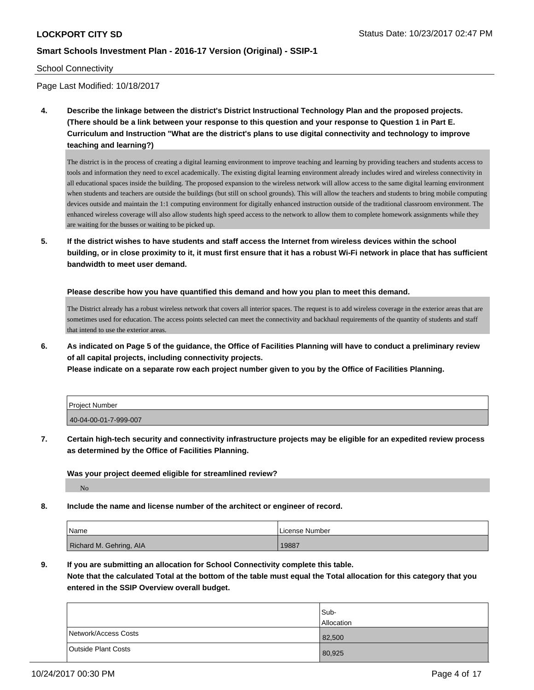#### School Connectivity

Page Last Modified: 10/18/2017

**4. Describe the linkage between the district's District Instructional Technology Plan and the proposed projects. (There should be a link between your response to this question and your response to Question 1 in Part E. Curriculum and Instruction "What are the district's plans to use digital connectivity and technology to improve teaching and learning?)**

The district is in the process of creating a digital learning environment to improve teaching and learning by providing teachers and students access to tools and information they need to excel academically. The existing digital learning environment already includes wired and wireless connectivity in all educational spaces inside the building. The proposed expansion to the wireless network will allow access to the same digital learning environment when students and teachers are outside the buildings (but still on school grounds). This will allow the teachers and students to bring mobile computing devices outside and maintain the 1:1 computing environment for digitally enhanced instruction outside of the traditional classroom environment. The enhanced wireless coverage will also allow students high speed access to the network to allow them to complete homework assignments while they are waiting for the busses or waiting to be picked up.

**5. If the district wishes to have students and staff access the Internet from wireless devices within the school building, or in close proximity to it, it must first ensure that it has a robust Wi-Fi network in place that has sufficient bandwidth to meet user demand.**

**Please describe how you have quantified this demand and how you plan to meet this demand.**

The District already has a robust wireless network that covers all interior spaces. The request is to add wireless coverage in the exterior areas that are sometimes used for education. The access points selected can meet the connectivity and backhaul requirements of the quantity of students and staff that intend to use the exterior areas.

**6. As indicated on Page 5 of the guidance, the Office of Facilities Planning will have to conduct a preliminary review of all capital projects, including connectivity projects.**

**Please indicate on a separate row each project number given to you by the Office of Facilities Planning.**

| <b>Project Number</b> |  |
|-----------------------|--|
| 40-04-00-01-7-999-007 |  |

**7. Certain high-tech security and connectivity infrastructure projects may be eligible for an expedited review process as determined by the Office of Facilities Planning.**

**Was your project deemed eligible for streamlined review?**

No

**8. Include the name and license number of the architect or engineer of record.**

| Name                    | License Number |
|-------------------------|----------------|
| Richard M. Gehring, AIA | 19887          |

**9. If you are submitting an allocation for School Connectivity complete this table.**

**Note that the calculated Total at the bottom of the table must equal the Total allocation for this category that you entered in the SSIP Overview overall budget.** 

|                      | Sub-              |
|----------------------|-------------------|
|                      | <b>Allocation</b> |
| Network/Access Costs | 82,500            |
| Outside Plant Costs  | 80,925            |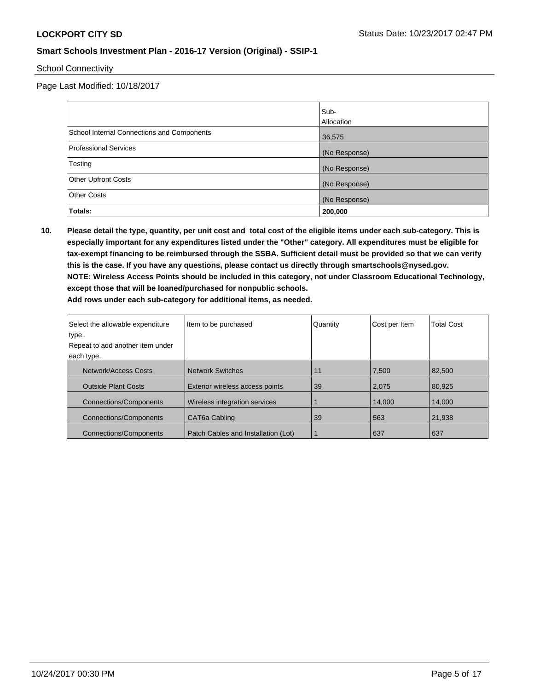School Connectivity

Page Last Modified: 10/18/2017

|                                            | Sub-          |
|--------------------------------------------|---------------|
|                                            | Allocation    |
| School Internal Connections and Components | 36,575        |
| <b>Professional Services</b>               | (No Response) |
| Testing                                    | (No Response) |
| <b>Other Upfront Costs</b>                 | (No Response) |
| <b>Other Costs</b>                         | (No Response) |
| Totals:                                    | 200,000       |

**10. Please detail the type, quantity, per unit cost and total cost of the eligible items under each sub-category. This is especially important for any expenditures listed under the "Other" category. All expenditures must be eligible for tax-exempt financing to be reimbursed through the SSBA. Sufficient detail must be provided so that we can verify this is the case. If you have any questions, please contact us directly through smartschools@nysed.gov. NOTE: Wireless Access Points should be included in this category, not under Classroom Educational Technology, except those that will be loaned/purchased for nonpublic schools. Add rows under each sub-category for additional items, as needed.**

| Select the allowable expenditure | Item to be purchased                | Quantity | Cost per Item | <b>Total Cost</b> |
|----------------------------------|-------------------------------------|----------|---------------|-------------------|
| type.                            |                                     |          |               |                   |
| Repeat to add another item under |                                     |          |               |                   |
| each type.                       |                                     |          |               |                   |
| Network/Access Costs             | <b>Network Switches</b>             | 11       | 7.500         | 82.500            |
| <b>Outside Plant Costs</b>       | Exterior wireless access points     |          | 2,075         | 80,925            |
| <b>Connections/Components</b>    | Wireless integration services       |          | 14.000        | 14.000            |
| <b>Connections/Components</b>    | CAT6a Cabling<br>39                 |          | 563           | 21,938            |
| <b>Connections/Components</b>    | Patch Cables and Installation (Lot) |          | 637           | 637               |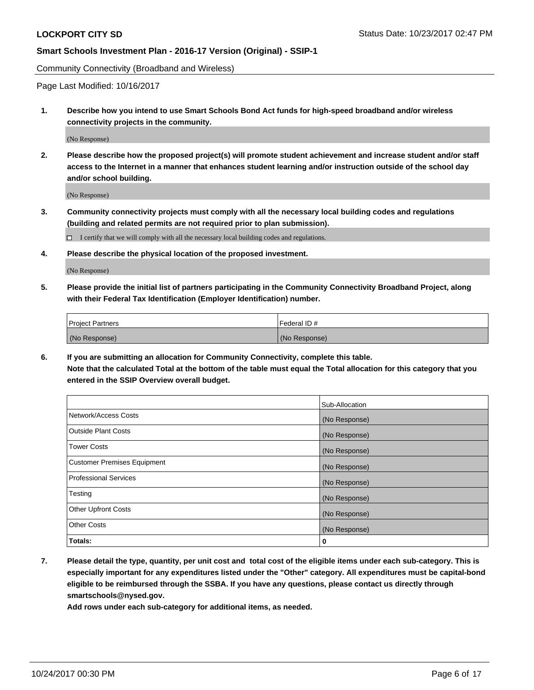Community Connectivity (Broadband and Wireless)

Page Last Modified: 10/16/2017

**1. Describe how you intend to use Smart Schools Bond Act funds for high-speed broadband and/or wireless connectivity projects in the community.**

(No Response)

**2. Please describe how the proposed project(s) will promote student achievement and increase student and/or staff access to the Internet in a manner that enhances student learning and/or instruction outside of the school day and/or school building.**

(No Response)

- **3. Community connectivity projects must comply with all the necessary local building codes and regulations (building and related permits are not required prior to plan submission).**
	- $\Box$  I certify that we will comply with all the necessary local building codes and regulations.
- **4. Please describe the physical location of the proposed investment.**

(No Response)

**5. Please provide the initial list of partners participating in the Community Connectivity Broadband Project, along with their Federal Tax Identification (Employer Identification) number.**

| <b>Project Partners</b> | l Federal ID # |
|-------------------------|----------------|
| (No Response)           | (No Response)  |

**6. If you are submitting an allocation for Community Connectivity, complete this table. Note that the calculated Total at the bottom of the table must equal the Total allocation for this category that you entered in the SSIP Overview overall budget.**

|                                    | Sub-Allocation |
|------------------------------------|----------------|
| Network/Access Costs               | (No Response)  |
| <b>Outside Plant Costs</b>         | (No Response)  |
| <b>Tower Costs</b>                 | (No Response)  |
| <b>Customer Premises Equipment</b> | (No Response)  |
| <b>Professional Services</b>       | (No Response)  |
| Testing                            | (No Response)  |
| <b>Other Upfront Costs</b>         | (No Response)  |
| <b>Other Costs</b>                 | (No Response)  |
| Totals:                            | 0              |

**7. Please detail the type, quantity, per unit cost and total cost of the eligible items under each sub-category. This is especially important for any expenditures listed under the "Other" category. All expenditures must be capital-bond eligible to be reimbursed through the SSBA. If you have any questions, please contact us directly through smartschools@nysed.gov.**

**Add rows under each sub-category for additional items, as needed.**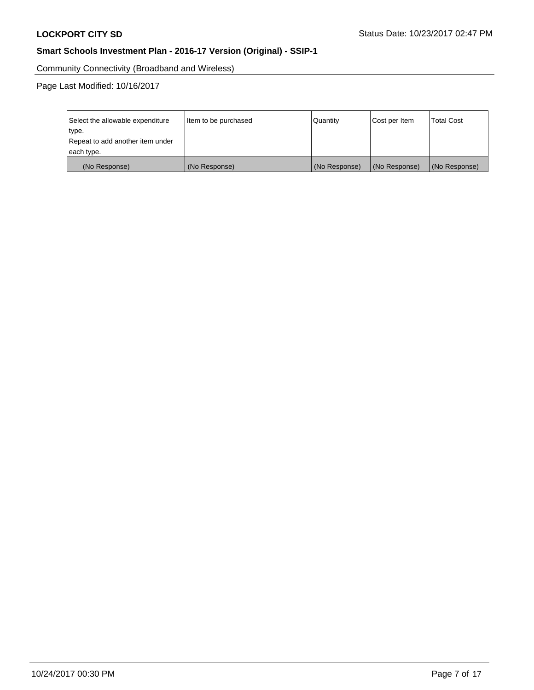Community Connectivity (Broadband and Wireless)

Page Last Modified: 10/16/2017

| Select the allowable expenditure<br>type.<br>Repeat to add another item under | Item to be purchased | Quantity      | Cost per Item | <b>Total Cost</b> |
|-------------------------------------------------------------------------------|----------------------|---------------|---------------|-------------------|
| each type.                                                                    |                      |               |               |                   |
| (No Response)                                                                 | (No Response)        | (No Response) | (No Response) | (No Response)     |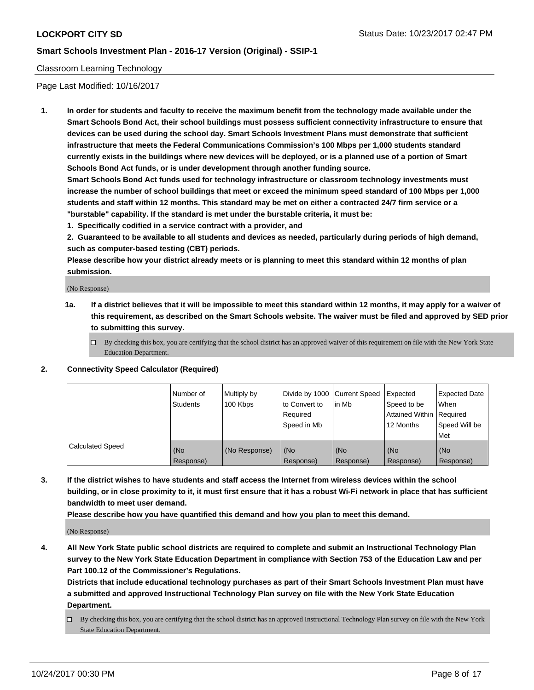#### Classroom Learning Technology

Page Last Modified: 10/16/2017

**1. In order for students and faculty to receive the maximum benefit from the technology made available under the Smart Schools Bond Act, their school buildings must possess sufficient connectivity infrastructure to ensure that devices can be used during the school day. Smart Schools Investment Plans must demonstrate that sufficient infrastructure that meets the Federal Communications Commission's 100 Mbps per 1,000 students standard currently exists in the buildings where new devices will be deployed, or is a planned use of a portion of Smart Schools Bond Act funds, or is under development through another funding source.**

**Smart Schools Bond Act funds used for technology infrastructure or classroom technology investments must increase the number of school buildings that meet or exceed the minimum speed standard of 100 Mbps per 1,000 students and staff within 12 months. This standard may be met on either a contracted 24/7 firm service or a "burstable" capability. If the standard is met under the burstable criteria, it must be:**

**1. Specifically codified in a service contract with a provider, and**

**2. Guaranteed to be available to all students and devices as needed, particularly during periods of high demand, such as computer-based testing (CBT) periods.**

**Please describe how your district already meets or is planning to meet this standard within 12 months of plan submission.**

(No Response)

- **1a. If a district believes that it will be impossible to meet this standard within 12 months, it may apply for a waiver of this requirement, as described on the Smart Schools website. The waiver must be filed and approved by SED prior to submitting this survey.**
	- $\Box$  By checking this box, you are certifying that the school district has an approved waiver of this requirement on file with the New York State Education Department.
- **2. Connectivity Speed Calculator (Required)**

|                         | Number of<br><b>Students</b> | Multiply by<br>100 Kbps | Divide by 1000 Current Speed<br>to Convert to<br>Reauired<br>Speed in Mb | l in Mb          | Expected<br>Speed to be<br>Attained Within   Required<br>12 Months | <b>Expected Date</b><br>When<br>Speed Will be<br>Met |
|-------------------------|------------------------------|-------------------------|--------------------------------------------------------------------------|------------------|--------------------------------------------------------------------|------------------------------------------------------|
| <b>Calculated Speed</b> | (No<br>Response)             | (No Response)           | (No<br>Response)                                                         | (No<br>Response) | (No<br>Response)                                                   | (No<br>Response)                                     |

**3. If the district wishes to have students and staff access the Internet from wireless devices within the school building, or in close proximity to it, it must first ensure that it has a robust Wi-Fi network in place that has sufficient bandwidth to meet user demand.**

**Please describe how you have quantified this demand and how you plan to meet this demand.**

(No Response)

**4. All New York State public school districts are required to complete and submit an Instructional Technology Plan survey to the New York State Education Department in compliance with Section 753 of the Education Law and per Part 100.12 of the Commissioner's Regulations.**

**Districts that include educational technology purchases as part of their Smart Schools Investment Plan must have a submitted and approved Instructional Technology Plan survey on file with the New York State Education Department.**

By checking this box, you are certifying that the school district has an approved Instructional Technology Plan survey on file with the New York State Education Department.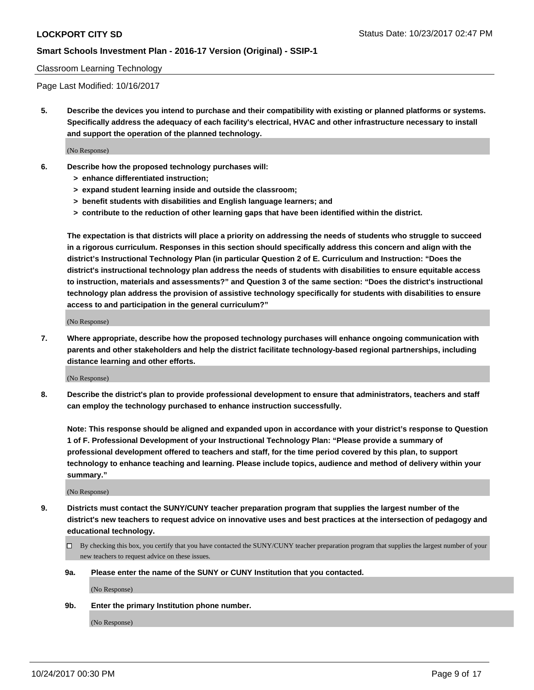#### Classroom Learning Technology

Page Last Modified: 10/16/2017

**5. Describe the devices you intend to purchase and their compatibility with existing or planned platforms or systems. Specifically address the adequacy of each facility's electrical, HVAC and other infrastructure necessary to install and support the operation of the planned technology.**

(No Response)

- **6. Describe how the proposed technology purchases will:**
	- **> enhance differentiated instruction;**
	- **> expand student learning inside and outside the classroom;**
	- **> benefit students with disabilities and English language learners; and**
	- **> contribute to the reduction of other learning gaps that have been identified within the district.**

**The expectation is that districts will place a priority on addressing the needs of students who struggle to succeed in a rigorous curriculum. Responses in this section should specifically address this concern and align with the district's Instructional Technology Plan (in particular Question 2 of E. Curriculum and Instruction: "Does the district's instructional technology plan address the needs of students with disabilities to ensure equitable access to instruction, materials and assessments?" and Question 3 of the same section: "Does the district's instructional technology plan address the provision of assistive technology specifically for students with disabilities to ensure access to and participation in the general curriculum?"**

(No Response)

**7. Where appropriate, describe how the proposed technology purchases will enhance ongoing communication with parents and other stakeholders and help the district facilitate technology-based regional partnerships, including distance learning and other efforts.**

(No Response)

**8. Describe the district's plan to provide professional development to ensure that administrators, teachers and staff can employ the technology purchased to enhance instruction successfully.**

**Note: This response should be aligned and expanded upon in accordance with your district's response to Question 1 of F. Professional Development of your Instructional Technology Plan: "Please provide a summary of professional development offered to teachers and staff, for the time period covered by this plan, to support technology to enhance teaching and learning. Please include topics, audience and method of delivery within your summary."**

(No Response)

- **9. Districts must contact the SUNY/CUNY teacher preparation program that supplies the largest number of the district's new teachers to request advice on innovative uses and best practices at the intersection of pedagogy and educational technology.**
	- By checking this box, you certify that you have contacted the SUNY/CUNY teacher preparation program that supplies the largest number of your new teachers to request advice on these issues.
	- **9a. Please enter the name of the SUNY or CUNY Institution that you contacted.**

(No Response)

**9b. Enter the primary Institution phone number.**

(No Response)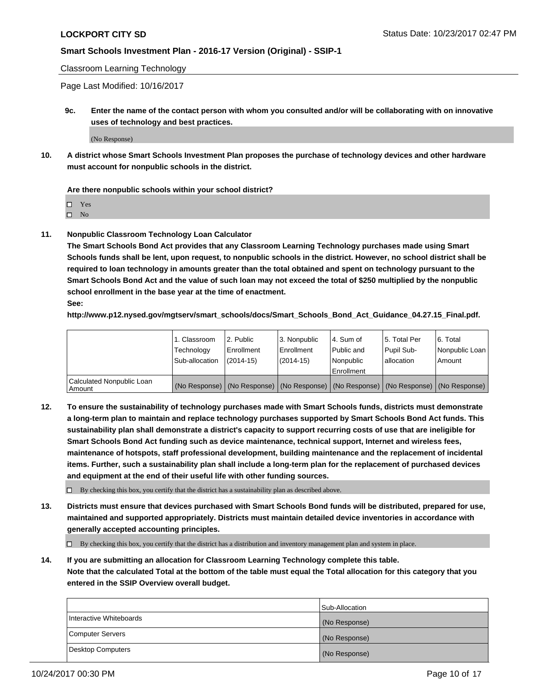Classroom Learning Technology

Page Last Modified: 10/16/2017

**9c. Enter the name of the contact person with whom you consulted and/or will be collaborating with on innovative uses of technology and best practices.**

(No Response)

**10. A district whose Smart Schools Investment Plan proposes the purchase of technology devices and other hardware must account for nonpublic schools in the district.**

**Are there nonpublic schools within your school district?**

Yes

 $\square$  No

**11. Nonpublic Classroom Technology Loan Calculator**

**The Smart Schools Bond Act provides that any Classroom Learning Technology purchases made using Smart Schools funds shall be lent, upon request, to nonpublic schools in the district. However, no school district shall be required to loan technology in amounts greater than the total obtained and spent on technology pursuant to the Smart Schools Bond Act and the value of such loan may not exceed the total of \$250 multiplied by the nonpublic school enrollment in the base year at the time of enactment.**

**See:**

**http://www.p12.nysed.gov/mgtserv/smart\_schools/docs/Smart\_Schools\_Bond\_Act\_Guidance\_04.27.15\_Final.pdf.**

|                                       | 1. Classroom   | l 2. Public   | 3. Nonpublic | l 4. Sum of | 15. Total Per                                                                                 | 6. Total       |
|---------------------------------------|----------------|---------------|--------------|-------------|-----------------------------------------------------------------------------------------------|----------------|
|                                       | Technology     | Enrollment    | Enrollment   | Public and  | Pupil Sub-                                                                                    | Nonpublic Loan |
|                                       | Sub-allocation | $(2014 - 15)$ | $(2014-15)$  | l Nonpublic | allocation                                                                                    | Amount         |
|                                       |                |               |              | Enrollment  |                                                                                               |                |
| Calculated Nonpublic Loan<br>  Amount |                |               |              |             | (No Response)   (No Response)   (No Response)   (No Response)   (No Response)   (No Response) |                |

**12. To ensure the sustainability of technology purchases made with Smart Schools funds, districts must demonstrate a long-term plan to maintain and replace technology purchases supported by Smart Schools Bond Act funds. This sustainability plan shall demonstrate a district's capacity to support recurring costs of use that are ineligible for Smart Schools Bond Act funding such as device maintenance, technical support, Internet and wireless fees, maintenance of hotspots, staff professional development, building maintenance and the replacement of incidental items. Further, such a sustainability plan shall include a long-term plan for the replacement of purchased devices and equipment at the end of their useful life with other funding sources.**

 $\Box$  By checking this box, you certify that the district has a sustainability plan as described above.

**13. Districts must ensure that devices purchased with Smart Schools Bond funds will be distributed, prepared for use, maintained and supported appropriately. Districts must maintain detailed device inventories in accordance with generally accepted accounting principles.**

By checking this box, you certify that the district has a distribution and inventory management plan and system in place.

**14. If you are submitting an allocation for Classroom Learning Technology complete this table. Note that the calculated Total at the bottom of the table must equal the Total allocation for this category that you entered in the SSIP Overview overall budget.**

|                         | Sub-Allocation |
|-------------------------|----------------|
| Interactive Whiteboards | (No Response)  |
| Computer Servers        | (No Response)  |
| Desktop Computers       | (No Response)  |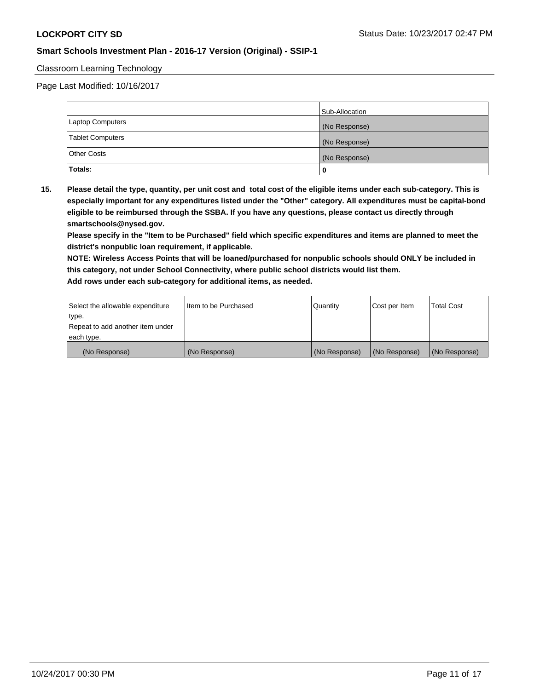#### Classroom Learning Technology

Page Last Modified: 10/16/2017

|                         | Sub-Allocation |
|-------------------------|----------------|
| Laptop Computers        | (No Response)  |
| <b>Tablet Computers</b> | (No Response)  |
| Other Costs             | (No Response)  |
| Totals:                 | u              |

**15. Please detail the type, quantity, per unit cost and total cost of the eligible items under each sub-category. This is especially important for any expenditures listed under the "Other" category. All expenditures must be capital-bond eligible to be reimbursed through the SSBA. If you have any questions, please contact us directly through smartschools@nysed.gov.**

**Please specify in the "Item to be Purchased" field which specific expenditures and items are planned to meet the district's nonpublic loan requirement, if applicable.**

**NOTE: Wireless Access Points that will be loaned/purchased for nonpublic schools should ONLY be included in this category, not under School Connectivity, where public school districts would list them. Add rows under each sub-category for additional items, as needed.**

| Select the allowable expenditure | I Item to be Purchased | Quantity      | Cost per Item   | <b>Total Cost</b> |
|----------------------------------|------------------------|---------------|-----------------|-------------------|
| type.                            |                        |               |                 |                   |
| Repeat to add another item under |                        |               |                 |                   |
| each type.                       |                        |               |                 |                   |
| (No Response)                    | (No Response)          | (No Response) | l (No Response) | (No Response)     |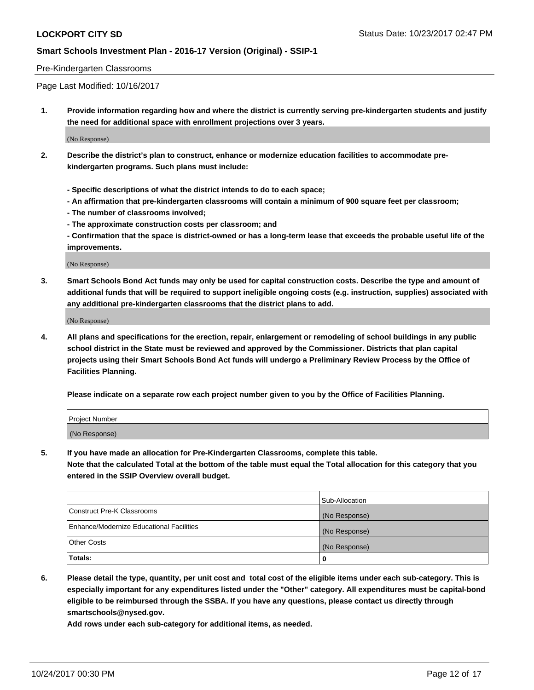#### Pre-Kindergarten Classrooms

Page Last Modified: 10/16/2017

**1. Provide information regarding how and where the district is currently serving pre-kindergarten students and justify the need for additional space with enrollment projections over 3 years.**

(No Response)

- **2. Describe the district's plan to construct, enhance or modernize education facilities to accommodate prekindergarten programs. Such plans must include:**
	- **Specific descriptions of what the district intends to do to each space;**
	- **An affirmation that pre-kindergarten classrooms will contain a minimum of 900 square feet per classroom;**
	- **The number of classrooms involved;**
	- **The approximate construction costs per classroom; and**
	- **Confirmation that the space is district-owned or has a long-term lease that exceeds the probable useful life of the improvements.**

(No Response)

**3. Smart Schools Bond Act funds may only be used for capital construction costs. Describe the type and amount of additional funds that will be required to support ineligible ongoing costs (e.g. instruction, supplies) associated with any additional pre-kindergarten classrooms that the district plans to add.**

(No Response)

**4. All plans and specifications for the erection, repair, enlargement or remodeling of school buildings in any public school district in the State must be reviewed and approved by the Commissioner. Districts that plan capital projects using their Smart Schools Bond Act funds will undergo a Preliminary Review Process by the Office of Facilities Planning.**

**Please indicate on a separate row each project number given to you by the Office of Facilities Planning.**

| Project Number |  |
|----------------|--|
| (No Response)  |  |

**5. If you have made an allocation for Pre-Kindergarten Classrooms, complete this table.**

**Note that the calculated Total at the bottom of the table must equal the Total allocation for this category that you entered in the SSIP Overview overall budget.**

|                                          | Sub-Allocation |
|------------------------------------------|----------------|
| Construct Pre-K Classrooms               | (No Response)  |
| Enhance/Modernize Educational Facilities | (No Response)  |
| <b>Other Costs</b>                       | (No Response)  |
| <b>Totals:</b>                           | 0              |

**6. Please detail the type, quantity, per unit cost and total cost of the eligible items under each sub-category. This is especially important for any expenditures listed under the "Other" category. All expenditures must be capital-bond eligible to be reimbursed through the SSBA. If you have any questions, please contact us directly through smartschools@nysed.gov.**

**Add rows under each sub-category for additional items, as needed.**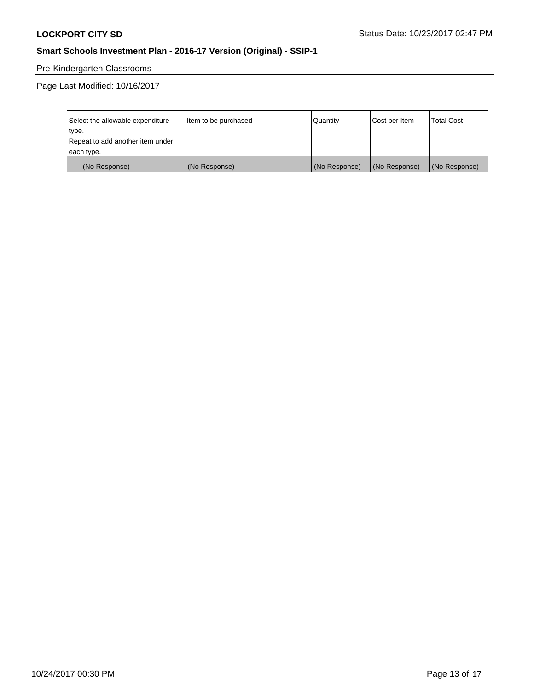# Pre-Kindergarten Classrooms

Page Last Modified: 10/16/2017

| Select the allowable expenditure | Item to be purchased | Quantity      | Cost per Item | <b>Total Cost</b> |
|----------------------------------|----------------------|---------------|---------------|-------------------|
| type.                            |                      |               |               |                   |
| Repeat to add another item under |                      |               |               |                   |
| each type.                       |                      |               |               |                   |
| (No Response)                    | (No Response)        | (No Response) | (No Response) | (No Response)     |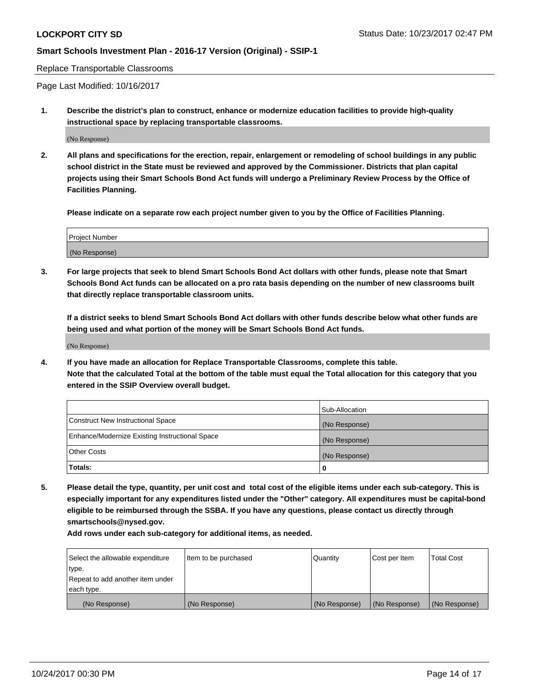Replace Transportable Classrooms

Page Last Modified: 10/16/2017

**1. Describe the district's plan to construct, enhance or modernize education facilities to provide high-quality instructional space by replacing transportable classrooms.**

(No Response)

**2. All plans and specifications for the erection, repair, enlargement or remodeling of school buildings in any public school district in the State must be reviewed and approved by the Commissioner. Districts that plan capital projects using their Smart Schools Bond Act funds will undergo a Preliminary Review Process by the Office of Facilities Planning.**

**Please indicate on a separate row each project number given to you by the Office of Facilities Planning.**

| Project Number |  |
|----------------|--|
| (No Response)  |  |

**3. For large projects that seek to blend Smart Schools Bond Act dollars with other funds, please note that Smart Schools Bond Act funds can be allocated on a pro rata basis depending on the number of new classrooms built that directly replace transportable classroom units.**

**If a district seeks to blend Smart Schools Bond Act dollars with other funds describe below what other funds are being used and what portion of the money will be Smart Schools Bond Act funds.**

(No Response)

**4. If you have made an allocation for Replace Transportable Classrooms, complete this table. Note that the calculated Total at the bottom of the table must equal the Total allocation for this category that you entered in the SSIP Overview overall budget.**

|                                                | Sub-Allocation |
|------------------------------------------------|----------------|
| Construct New Instructional Space              | (No Response)  |
| Enhance/Modernize Existing Instructional Space | (No Response)  |
| <b>Other Costs</b>                             | (No Response)  |
| Totals:                                        | 0              |

**5. Please detail the type, quantity, per unit cost and total cost of the eligible items under each sub-category. This is especially important for any expenditures listed under the "Other" category. All expenditures must be capital-bond eligible to be reimbursed through the SSBA. If you have any questions, please contact us directly through smartschools@nysed.gov.**

**Add rows under each sub-category for additional items, as needed.**

| Select the allowable expenditure | Item to be purchased | Quantity      | Cost per Item | <b>Total Cost</b> |
|----------------------------------|----------------------|---------------|---------------|-------------------|
| type.                            |                      |               |               |                   |
| Repeat to add another item under |                      |               |               |                   |
| each type.                       |                      |               |               |                   |
| (No Response)                    | (No Response)        | (No Response) | (No Response) | (No Response)     |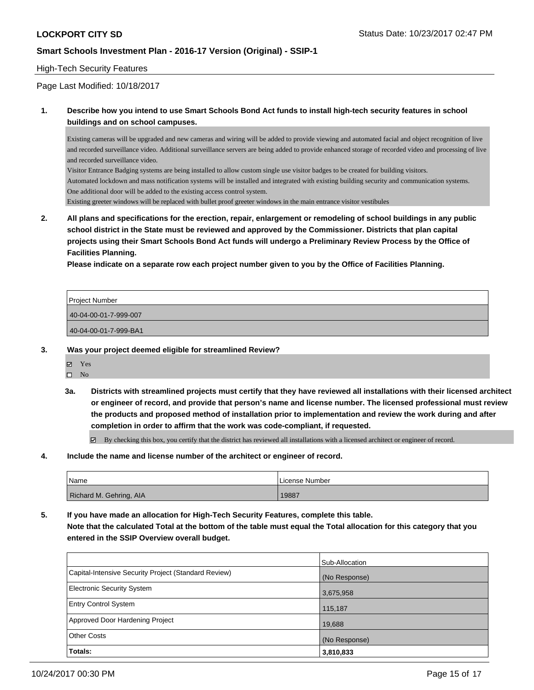#### High-Tech Security Features

Page Last Modified: 10/18/2017

#### **1. Describe how you intend to use Smart Schools Bond Act funds to install high-tech security features in school buildings and on school campuses.**

Existing cameras will be upgraded and new cameras and wiring will be added to provide viewing and automated facial and object recognition of live and recorded surveillance video. Additional surveillance servers are being added to provide enhanced storage of recorded video and processing of live and recorded surveillance video.

Visitor Entrance Badging systems are being installed to allow custom single use visitor badges to be created for building visitors. Automated lockdown and mass notification systems will be installed and integrated with existing building security and communication systems. One additional door will be added to the existing access control system. Existing greeter windows will be replaced with bullet proof greeter windows in the main entrance visitor vestibules

**2. All plans and specifications for the erection, repair, enlargement or remodeling of school buildings in any public school district in the State must be reviewed and approved by the Commissioner. Districts that plan capital projects using their Smart Schools Bond Act funds will undergo a Preliminary Review Process by the Office of Facilities Planning.** 

**Please indicate on a separate row each project number given to you by the Office of Facilities Planning.**

| Project Number        |  |
|-----------------------|--|
| 40-04-00-01-7-999-007 |  |
| 40-04-00-01-7-999-BA1 |  |
|                       |  |

**3. Was your project deemed eligible for streamlined Review?**

Yes

 $\square$  No

**3a. Districts with streamlined projects must certify that they have reviewed all installations with their licensed architect or engineer of record, and provide that person's name and license number. The licensed professional must review the products and proposed method of installation prior to implementation and review the work during and after completion in order to affirm that the work was code-compliant, if requested.**

By checking this box, you certify that the district has reviewed all installations with a licensed architect or engineer of record.

**4. Include the name and license number of the architect or engineer of record.**

| <b>Name</b>             | License Number |
|-------------------------|----------------|
| Richard M. Gehring, AIA | 19887          |

**5. If you have made an allocation for High-Tech Security Features, complete this table.**

**Note that the calculated Total at the bottom of the table must equal the Total allocation for this category that you entered in the SSIP Overview overall budget.**

| Totals:                                              | 3,810,833      |
|------------------------------------------------------|----------------|
| <b>Other Costs</b>                                   | (No Response)  |
| Approved Door Hardening Project                      | 19,688         |
| <b>Entry Control System</b>                          | 115,187        |
| <b>Electronic Security System</b>                    | 3,675,958      |
| Capital-Intensive Security Project (Standard Review) | (No Response)  |
|                                                      | Sub-Allocation |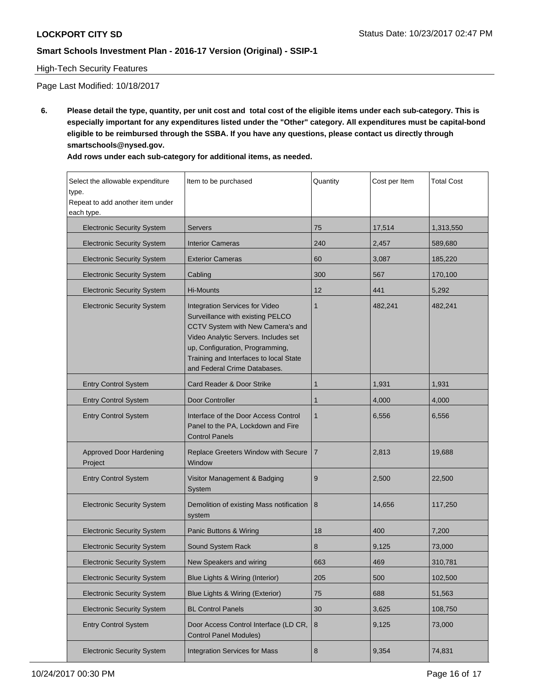#### High-Tech Security Features

Page Last Modified: 10/18/2017

**6. Please detail the type, quantity, per unit cost and total cost of the eligible items under each sub-category. This is especially important for any expenditures listed under the "Other" category. All expenditures must be capital-bond eligible to be reimbursed through the SSBA. If you have any questions, please contact us directly through smartschools@nysed.gov.**

| Add rows under each sub-category for additional items, as needed. |  |
|-------------------------------------------------------------------|--|
|-------------------------------------------------------------------|--|

| Select the allowable expenditure<br>type.<br>Repeat to add another item under<br>each type. | Item to be purchased                                                                                                                                                                                                                                         | Quantity     | Cost per Item | <b>Total Cost</b> |
|---------------------------------------------------------------------------------------------|--------------------------------------------------------------------------------------------------------------------------------------------------------------------------------------------------------------------------------------------------------------|--------------|---------------|-------------------|
| <b>Electronic Security System</b>                                                           | <b>Servers</b>                                                                                                                                                                                                                                               | 75           | 17,514        | 1,313,550         |
| <b>Electronic Security System</b>                                                           | <b>Interior Cameras</b>                                                                                                                                                                                                                                      | 240          | 2,457         | 589,680           |
| <b>Electronic Security System</b>                                                           | <b>Exterior Cameras</b>                                                                                                                                                                                                                                      | 60           | 3,087         | 185,220           |
| <b>Electronic Security System</b>                                                           | Cabling                                                                                                                                                                                                                                                      | 300          | 567           | 170,100           |
| <b>Electronic Security System</b>                                                           | Hi-Mounts                                                                                                                                                                                                                                                    | 12           | 441           | 5,292             |
| <b>Electronic Security System</b>                                                           | Integration Services for Video<br>Surveillance with existing PELCO<br>CCTV System with New Camera's and<br>Video Analytic Servers. Includes set<br>up, Configuration, Programming,<br>Training and Interfaces to local State<br>and Federal Crime Databases. | 1            | 482,241       | 482,241           |
| <b>Entry Control System</b>                                                                 | Card Reader & Door Strike                                                                                                                                                                                                                                    | 1            | 1,931         | 1,931             |
| <b>Entry Control System</b>                                                                 | Door Controller                                                                                                                                                                                                                                              | 1            | 4,000         | 4,000             |
| <b>Entry Control System</b>                                                                 | Interface of the Door Access Control<br>Panel to the PA, Lockdown and Fire<br><b>Control Panels</b>                                                                                                                                                          | $\mathbf{1}$ | 6,556         | 6,556             |
| Approved Door Hardening<br>Project                                                          | Replace Greeters Window with Secure<br>Window                                                                                                                                                                                                                | 7            | 2,813         | 19,688            |
| <b>Entry Control System</b>                                                                 | Visitor Management & Badging<br>System                                                                                                                                                                                                                       | 9            | 2,500         | 22,500            |
| <b>Electronic Security System</b>                                                           | Demolition of existing Mass notification<br>system                                                                                                                                                                                                           | 8            | 14,656        | 117,250           |
| <b>Electronic Security System</b>                                                           | Panic Buttons & Wiring                                                                                                                                                                                                                                       | 18           | 400           | 7,200             |
| <b>Electronic Security System</b>                                                           | Sound System Rack                                                                                                                                                                                                                                            | 8            | 9,125         | 73,000            |
| <b>Electronic Security System</b>                                                           | New Speakers and wiring                                                                                                                                                                                                                                      | 663          | 469           | 310,781           |
| <b>Electronic Security System</b>                                                           | Blue Lights & Wiring (Interior)                                                                                                                                                                                                                              | 205          | 500           | 102,500           |
| <b>Electronic Security System</b>                                                           | Blue Lights & Wiring (Exterior)                                                                                                                                                                                                                              | 75           | 688           | 51,563            |
| <b>Electronic Security System</b>                                                           | <b>BL Control Panels</b>                                                                                                                                                                                                                                     | 30           | 3,625         | 108,750           |
| <b>Entry Control System</b>                                                                 | Door Access Control Interface (LD CR,<br><b>Control Panel Modules)</b>                                                                                                                                                                                       | $\bf 8$      | 9,125         | 73,000            |
| <b>Electronic Security System</b>                                                           | <b>Integration Services for Mass</b>                                                                                                                                                                                                                         | 8            | 9,354         | 74,831            |